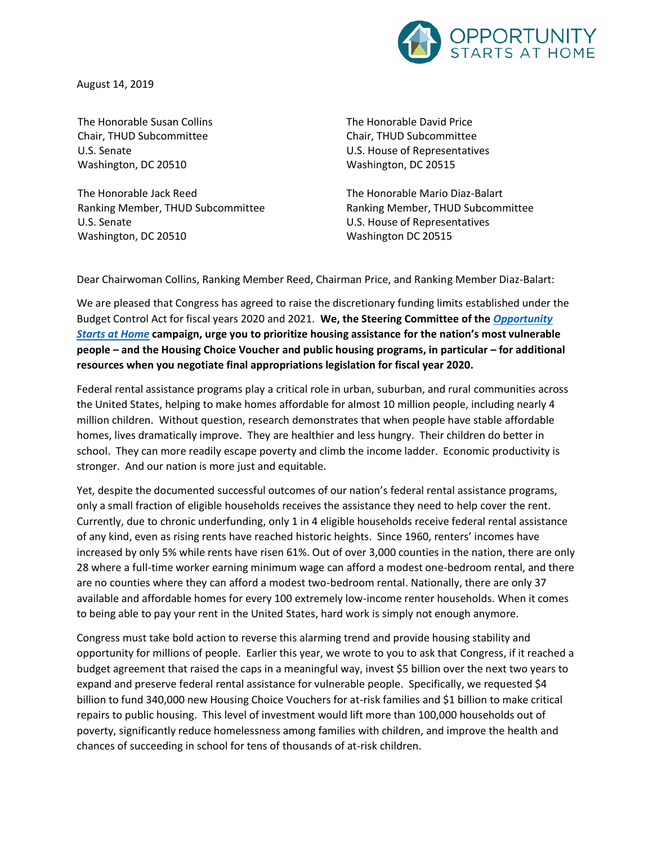

August 14, 2019

The Honorable Susan Collins Chair, THUD Subcommittee U.S. Senate Washington, DC 20510

The Honorable Jack Reed Ranking Member, THUD Subcommittee U.S. Senate Washington, DC 20510

The Honorable David Price Chair, THUD Subcommittee U.S. House of Representatives Washington, DC 20515

The Honorable Mario Diaz-Balart Ranking Member, THUD Subcommittee U.S. House of Representatives Washington DC 20515

Dear Chairwoman Collins, Ranking Member Reed, Chairman Price, and Ranking Member Diaz-Balart:

We are pleased that Congress has agreed to raise the discretionary funding limits established under the Budget Control Act for fiscal years 2020 and 2021. **We, the Steering Committee of the** *[Opportunity](http://www.opportunityhome.org/)  [Starts at Home](http://www.opportunityhome.org/)* **campaign, urge you to prioritize housing assistance for the nation's most vulnerable people – and the Housing Choice Voucher and public housing programs, in particular – for additional resources when you negotiate final appropriations legislation for fiscal year 2020.**

Federal rental assistance programs play a critical role in urban, suburban, and rural communities across the United States, helping to make homes affordable for almost 10 million people, including nearly 4 million children. Without question, research demonstrates that when people have stable affordable homes, lives dramatically improve. They are healthier and less hungry. Their children do better in school. They can more readily escape poverty and climb the income ladder. Economic productivity is stronger. And our nation is more just and equitable.

Yet, despite the documented successful outcomes of our nation's federal rental assistance programs, only a small fraction of eligible households receives the assistance they need to help cover the rent. Currently, due to chronic underfunding, only 1 in 4 eligible households receive federal rental assistance of any kind, even as rising rents have reached historic heights. Since 1960, renters' incomes have increased by only 5% while rents have risen 61%. Out of over 3,000 counties in the nation, there are only 28 where a full-time worker earning minimum wage can afford a modest one-bedroom rental, and there are no counties where they can afford a modest two-bedroom rental. Nationally, there are only 37 available and affordable homes for every 100 extremely low-income renter households. When it comes to being able to pay your rent in the United States, hard work is simply not enough anymore.

Congress must take bold action to reverse this alarming trend and provide housing stability and opportunity for millions of people. Earlier this year, we wrote to you to ask that Congress, if it reached a budget agreement that raised the caps in a meaningful way, invest \$5 billion over the next two years to expand and preserve federal rental assistance for vulnerable people. Specifically, we requested \$4 billion to fund 340,000 new Housing Choice Vouchers for at-risk families and \$1 billion to make critical repairs to public housing. This level of investment would lift more than 100,000 households out of poverty, significantly reduce homelessness among families with children, and improve the health and chances of succeeding in school for tens of thousands of at-risk children.